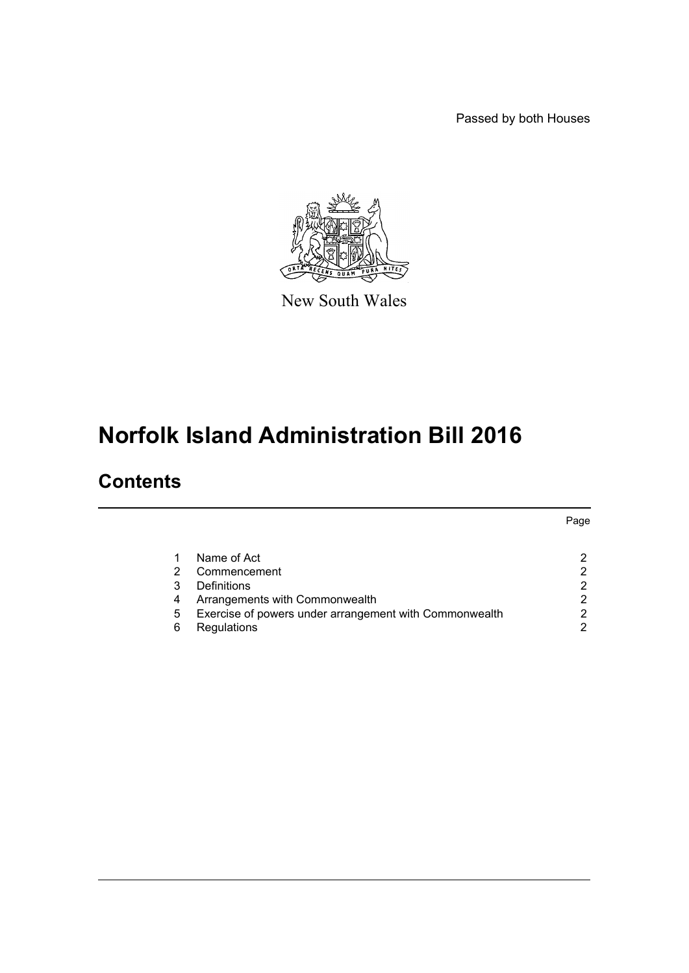Passed by both Houses



New South Wales

# **Norfolk Island Administration Bill 2016**

### **Contents**

|   |                                                        | Page |
|---|--------------------------------------------------------|------|
|   | Name of Act                                            |      |
| 2 | Commencement                                           |      |
| 3 | Definitions                                            | ⌒    |
| 4 | Arrangements with Commonwealth                         | 2    |
| 5 | Exercise of powers under arrangement with Commonwealth |      |
| 6 | Regulations                                            |      |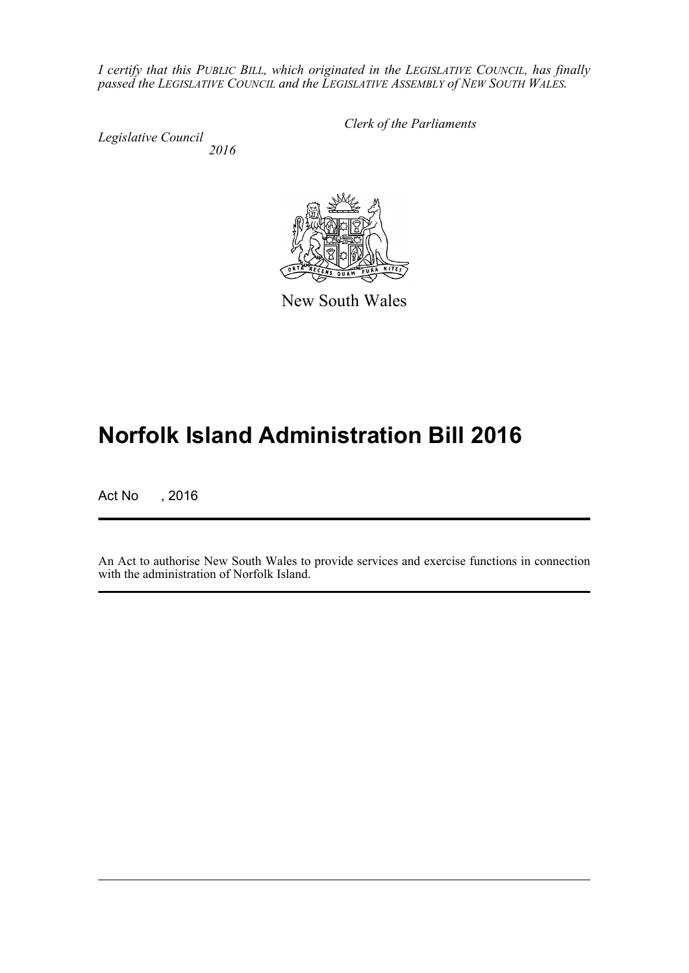*I certify that this PUBLIC BILL, which originated in the LEGISLATIVE COUNCIL, has finally passed the LEGISLATIVE COUNCIL and the LEGISLATIVE ASSEMBLY of NEW SOUTH WALES.*

*Legislative Council 2016* *Clerk of the Parliaments*



New South Wales

## **Norfolk Island Administration Bill 2016**

Act No , 2016

An Act to authorise New South Wales to provide services and exercise functions in connection with the administration of Norfolk Island.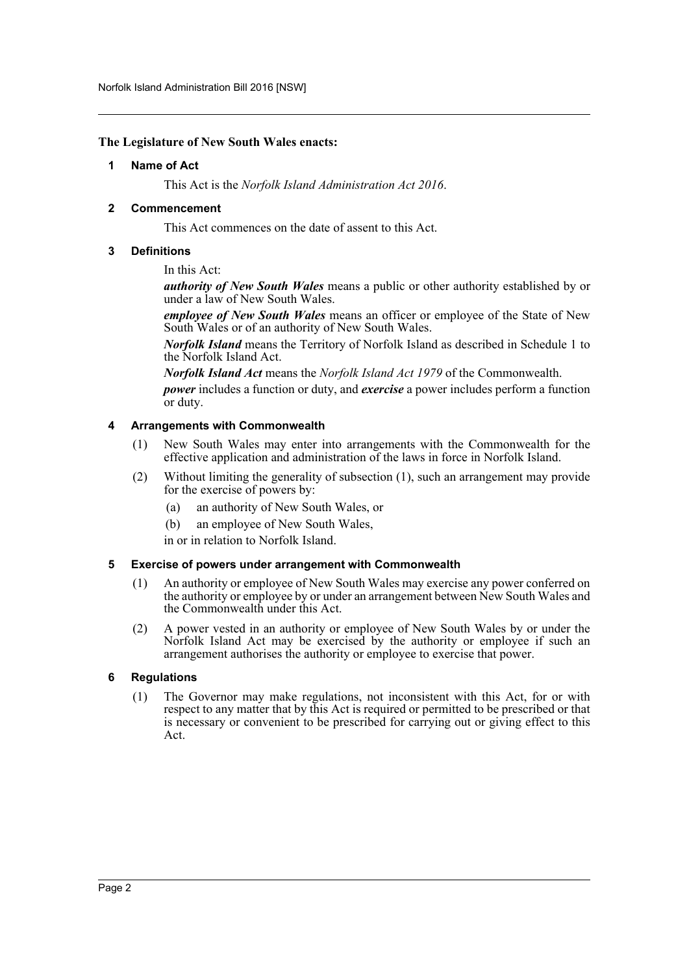#### <span id="page-2-0"></span>**The Legislature of New South Wales enacts:**

#### **1 Name of Act**

This Act is the *Norfolk Island Administration Act 2016*.

#### <span id="page-2-1"></span>**2 Commencement**

This Act commences on the date of assent to this Act.

#### <span id="page-2-2"></span>**3 Definitions**

In this Act:

*authority of New South Wales* means a public or other authority established by or under a law of New South Wales.

*employee of New South Wales* means an officer or employee of the State of New South Wales or of an authority of New South Wales.

*Norfolk Island* means the Territory of Norfolk Island as described in Schedule 1 to the Norfolk Island Act.

*Norfolk Island Act* means the *Norfolk Island Act 1979* of the Commonwealth.

*power* includes a function or duty, and *exercise* a power includes perform a function or duty.

#### <span id="page-2-3"></span>**4 Arrangements with Commonwealth**

- (1) New South Wales may enter into arrangements with the Commonwealth for the effective application and administration of the laws in force in Norfolk Island.
- (2) Without limiting the generality of subsection (1), such an arrangement may provide for the exercise of powers by:
	- (a) an authority of New South Wales, or
	- (b) an employee of New South Wales,

in or in relation to Norfolk Island.

#### <span id="page-2-4"></span>**5 Exercise of powers under arrangement with Commonwealth**

- (1) An authority or employee of New South Wales may exercise any power conferred on the authority or employee by or under an arrangement between New South Wales and the Commonwealth under this Act.
- (2) A power vested in an authority or employee of New South Wales by or under the Norfolk Island Act may be exercised by the authority or employee if such an arrangement authorises the authority or employee to exercise that power.

#### <span id="page-2-5"></span>**6 Regulations**

(1) The Governor may make regulations, not inconsistent with this Act, for or with respect to any matter that by this Act is required or permitted to be prescribed or that is necessary or convenient to be prescribed for carrying out or giving effect to this Act.